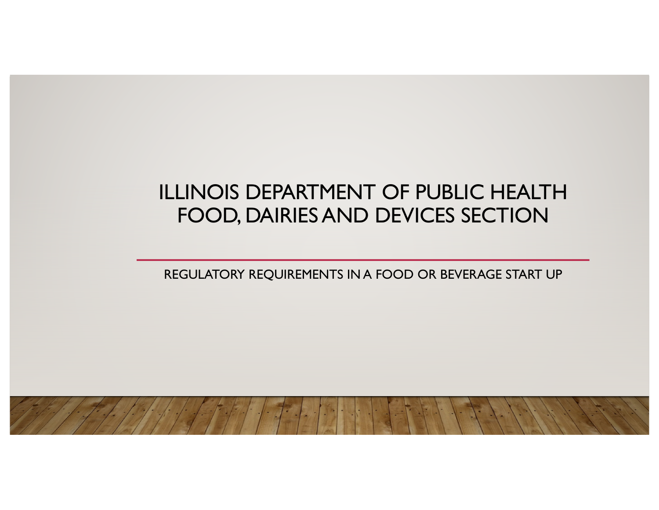#### ILLINOIS DEPARTMENT OF PUBLIC HEALTH FOOD, DAIRIES AND DEVICES SECTION

REGULATORY REQUIREMENTS IN A FOOD OR BEVERAGE START UP

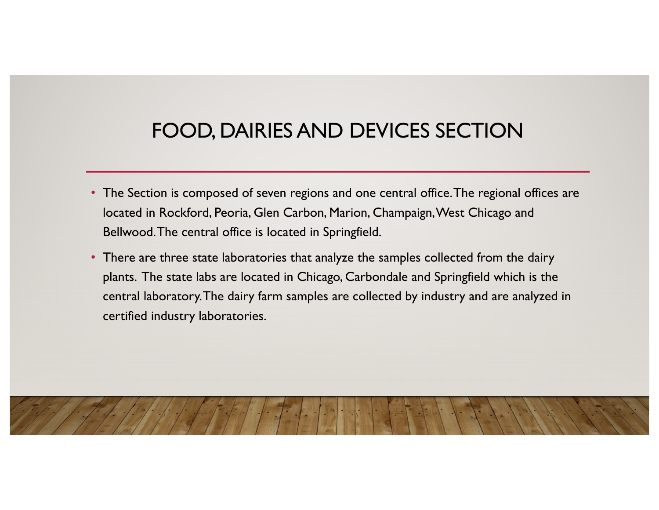### FOOD, DAIRIES AND DEVICES SECTION

- The Section is composed of seven regions and one central office. The regional offices are located in Rockford, Peoria, Glen Carbon, Marion, Champaign, West Chicago and Bellwood. The central office is located in Springfield.
- There are three state laboratories that analyze the samples collected from the dairy plants. The state labs are located in Chicago, Carbondale and Springfield which is the central laboratory. The dairy farm samples are collected by industry and are analyzed in certified industry laboratories.

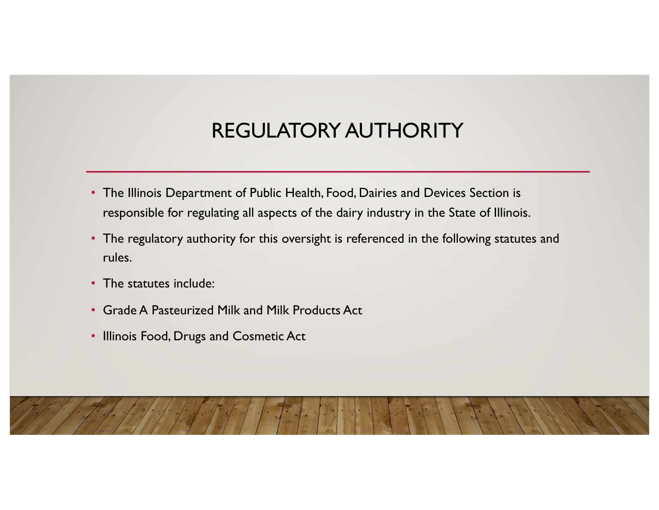### REGULATORY AUTHORITY

- The Illinois Department of Public Health, Food, Dairies and Devices Section is responsible for regulating all aspects of the dairy industry in the State of Illinois.
- The regulatory authority for this oversight is referenced in the following statutes and rules.
- The statutes include:
- Grade A Pasteurized Milk and Milk Products Act
- Illinois Food, Drugs and Cosmetic Act

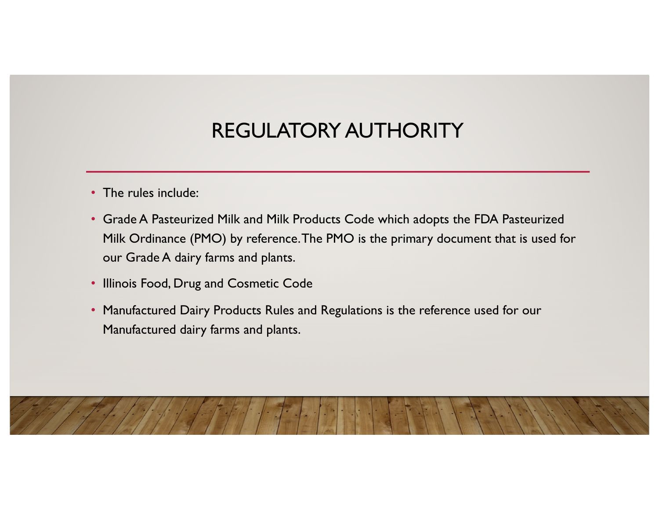# REGULATORY AUTHORITY

- The rules include:
- Grade A Pasteurized Milk and Milk Products Code which adopts the FDA Pasteurized Milk Ordinance (PMO) by reference. The PMO is the primary document that is used for our Grade A dairy farms and plants.
- Illinois Food, Drug and Cosmetic Code
- Manufactured Dairy Products Rules and Regulations is the reference used for our Manufactured dairy farms and plants.

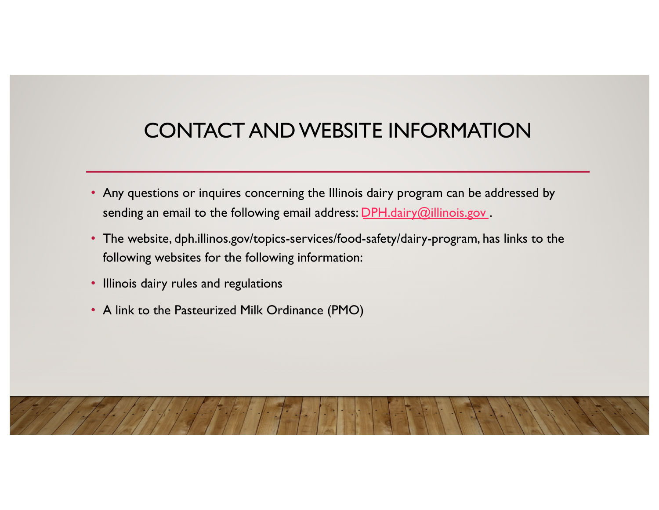# CONTACT AND WEBSITE INFORMATION

- Any questions or inquires concerning the Illinois dairy program can be addressed by sending an email to the following email address: **DPH**.dairy@illinois.gov.
- The website, dph.illinos.gov/topics-services/food-safety/dairy-program, has links to the following websites for the following information:
- Illinois dairy rules and regulations
- A link to the Pasteurized Milk Ordinance (PMO)